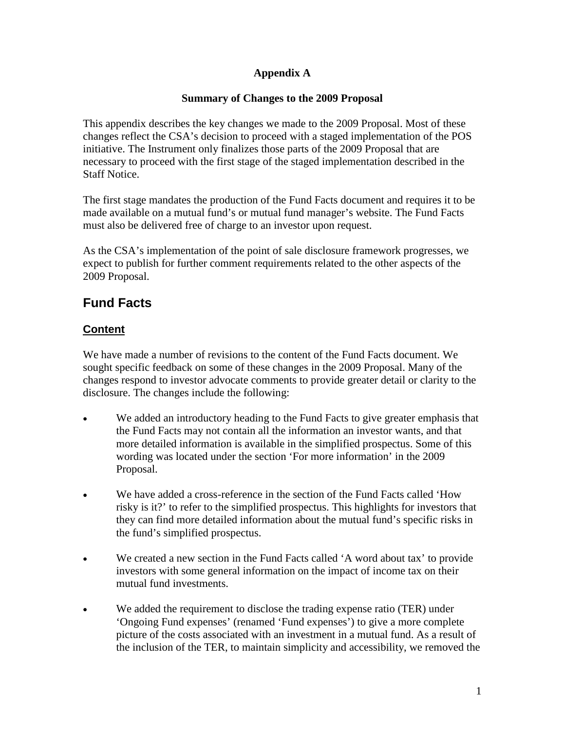#### **Appendix A**

#### **Summary of Changes to the 2009 Proposal**

This appendix describes the key changes we made to the 2009 Proposal. Most of these changes reflect the CSA's decision to proceed with a staged implementation of the POS initiative. The Instrument only finalizes those parts of the 2009 Proposal that are necessary to proceed with the first stage of the staged implementation described in the Staff Notice.

The first stage mandates the production of the Fund Facts document and requires it to be made available on a mutual fund's or mutual fund manager's website. The Fund Facts must also be delivered free of charge to an investor upon request.

As the CSA's implementation of the point of sale disclosure framework progresses, we expect to publish for further comment requirements related to the other aspects of the 2009 Proposal.

# **Fund Facts**

### **Content**

We have made a number of revisions to the content of the Fund Facts document. We sought specific feedback on some of these changes in the 2009 Proposal. Many of the changes respond to investor advocate comments to provide greater detail or clarity to the disclosure. The changes include the following:

- We added an introductory heading to the Fund Facts to give greater emphasis that the Fund Facts may not contain all the information an investor wants, and that more detailed information is available in the simplified prospectus. Some of this wording was located under the section 'For more information' in the 2009 Proposal.
- We have added a cross-reference in the section of the Fund Facts called 'How risky is it?' to refer to the simplified prospectus. This highlights for investors that they can find more detailed information about the mutual fund's specific risks in the fund's simplified prospectus.
- We created a new section in the Fund Facts called 'A word about tax' to provide investors with some general information on the impact of income tax on their mutual fund investments.
- We added the requirement to disclose the trading expense ratio (TER) under 'Ongoing Fund expenses' (renamed 'Fund expenses') to give a more complete picture of the costs associated with an investment in a mutual fund. As a result of the inclusion of the TER, to maintain simplicity and accessibility, we removed the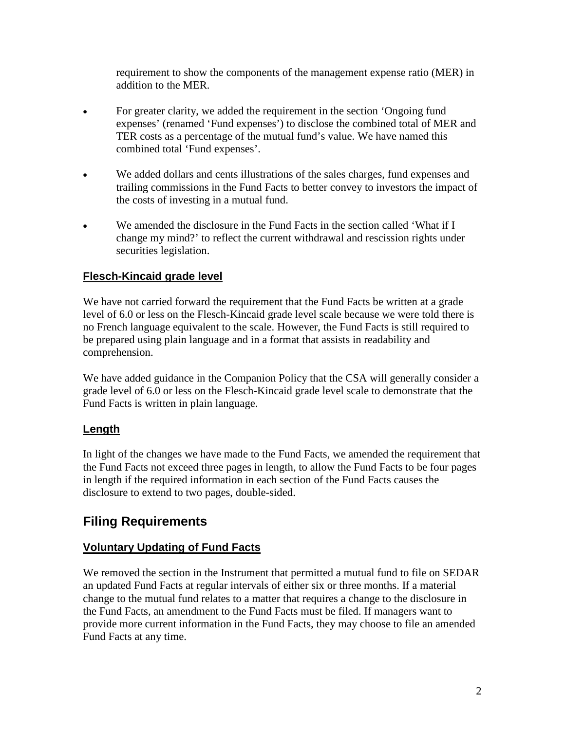requirement to show the components of the management expense ratio (MER) in addition to the MER.

- For greater clarity, we added the requirement in the section 'Ongoing fund expenses' (renamed 'Fund expenses') to disclose the combined total of MER and TER costs as a percentage of the mutual fund's value. We have named this combined total 'Fund expenses'.
- We added dollars and cents illustrations of the sales charges, fund expenses and trailing commissions in the Fund Facts to better convey to investors the impact of the costs of investing in a mutual fund.
- We amended the disclosure in the Fund Facts in the section called 'What if I change my mind?' to reflect the current withdrawal and rescission rights under securities legislation.

### **Flesch-Kincaid grade level**

We have not carried forward the requirement that the Fund Facts be written at a grade level of 6.0 or less on the Flesch-Kincaid grade level scale because we were told there is no French language equivalent to the scale. However, the Fund Facts is still required to be prepared using plain language and in a format that assists in readability and comprehension.

We have added guidance in the Companion Policy that the CSA will generally consider a grade level of 6.0 or less on the Flesch-Kincaid grade level scale to demonstrate that the Fund Facts is written in plain language.

#### **Length**

In light of the changes we have made to the Fund Facts, we amended the requirement that the Fund Facts not exceed three pages in length, to allow the Fund Facts to be four pages in length if the required information in each section of the Fund Facts causes the disclosure to extend to two pages, double-sided.

# **Filing Requirements**

#### **Voluntary Updating of Fund Facts**

We removed the section in the Instrument that permitted a mutual fund to file on SEDAR an updated Fund Facts at regular intervals of either six or three months. If a material change to the mutual fund relates to a matter that requires a change to the disclosure in the Fund Facts, an amendment to the Fund Facts must be filed. If managers want to provide more current information in the Fund Facts, they may choose to file an amended Fund Facts at any time.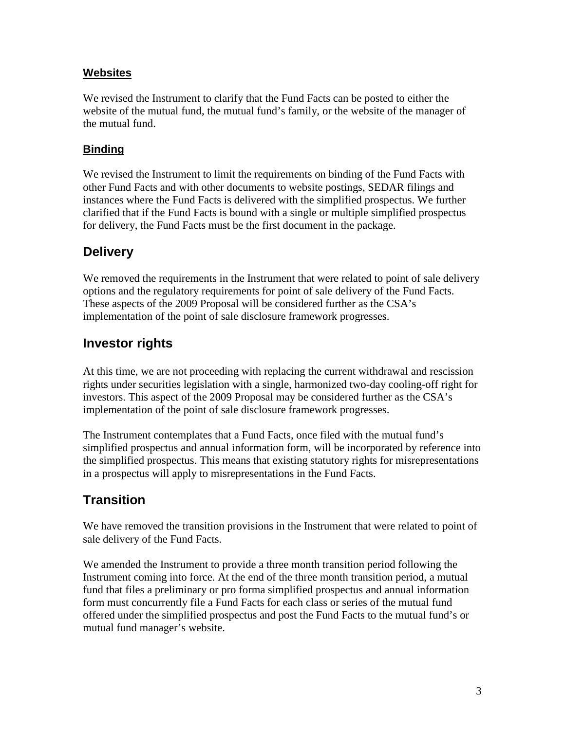### **Websites**

We revised the Instrument to clarify that the Fund Facts can be posted to either the website of the mutual fund, the mutual fund's family, or the website of the manager of the mutual fund.

### **Binding**

We revised the Instrument to limit the requirements on binding of the Fund Facts with other Fund Facts and with other documents to website postings, SEDAR filings and instances where the Fund Facts is delivered with the simplified prospectus. We further clarified that if the Fund Facts is bound with a single or multiple simplified prospectus for delivery, the Fund Facts must be the first document in the package.

### **Delivery**

We removed the requirements in the Instrument that were related to point of sale delivery options and the regulatory requirements for point of sale delivery of the Fund Facts. These aspects of the 2009 Proposal will be considered further as the CSA's implementation of the point of sale disclosure framework progresses.

# **Investor rights**

At this time, we are not proceeding with replacing the current withdrawal and rescission rights under securities legislation with a single, harmonized two-day cooling-off right for investors. This aspect of the 2009 Proposal may be considered further as the CSA's implementation of the point of sale disclosure framework progresses.

The Instrument contemplates that a Fund Facts, once filed with the mutual fund's simplified prospectus and annual information form, will be incorporated by reference into the simplified prospectus. This means that existing statutory rights for misrepresentations in a prospectus will apply to misrepresentations in the Fund Facts.

# **Transition**

We have removed the transition provisions in the Instrument that were related to point of sale delivery of the Fund Facts.

We amended the Instrument to provide a three month transition period following the Instrument coming into force. At the end of the three month transition period, a mutual fund that files a preliminary or pro forma simplified prospectus and annual information form must concurrently file a Fund Facts for each class or series of the mutual fund offered under the simplified prospectus and post the Fund Facts to the mutual fund's or mutual fund manager's website.